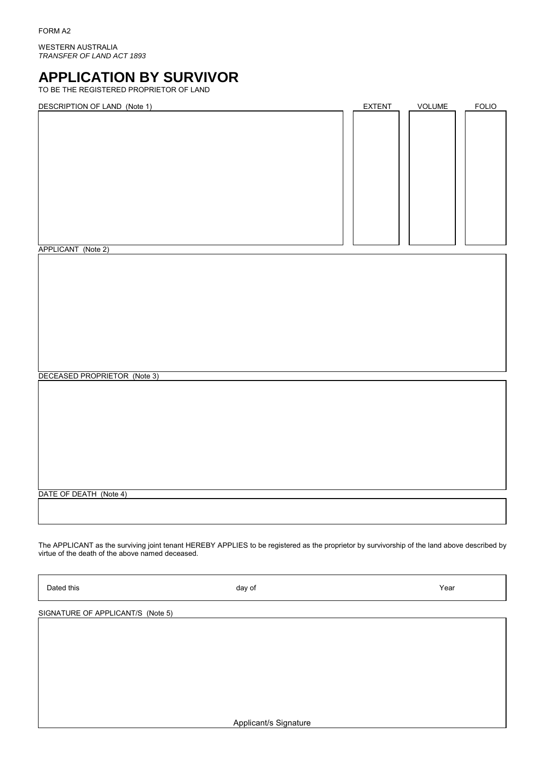WESTERN AUSTRALIA *TRANSFER OF LAND ACT 1893*

# **APPLICATION BY SURVIVOR**

TO BE THE REGISTERED PROPRIETOR OF LAND

| DESCRIPTION OF LAND (Note 1) | <b>EXTENT</b> | VOLUME | <b>FOLIO</b> |
|------------------------------|---------------|--------|--------------|
|                              |               |        |              |
|                              |               |        |              |
|                              |               |        |              |
|                              |               |        |              |
|                              |               |        |              |
|                              |               |        |              |
|                              |               |        |              |
|                              |               |        |              |
|                              |               |        |              |
|                              |               |        |              |
|                              |               |        |              |
|                              |               |        |              |
|                              |               |        |              |

APPLICANT (Note 2)

DECEASED PROPRIETOR (Note 3)

DATE OF DEATH (Note 4)

The APPLICANT as the surviving joint tenant HEREBY APPLIES to be registered as the proprietor by survivorship of the land above described by virtue of the death of the above named deceased.

Dated this **Example 2** and the Marian Control of Marian Control of Marian Control of *Year* Marian Control of *Year* 

SIGNATURE OF APPLICANT/S (Note 5)